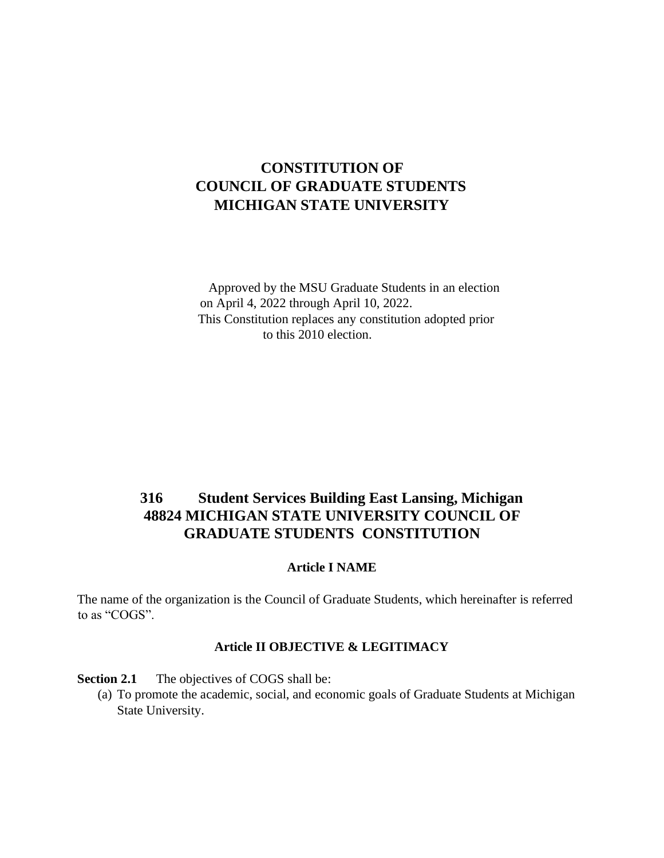# **CONSTITUTION OF COUNCIL OF GRADUATE STUDENTS MICHIGAN STATE UNIVERSITY**

Approved by the MSU Graduate Students in an election on April 4, 2022 through April 10, 2022. This Constitution replaces any constitution adopted prior to this 2010 election.

# **316 Student Services Building East Lansing, Michigan 48824 MICHIGAN STATE UNIVERSITY COUNCIL OF GRADUATE STUDENTS CONSTITUTION**

#### **Article I NAME**

The name of the organization is the Council of Graduate Students, which hereinafter is referred to as "COGS".

#### **Article II OBJECTIVE & LEGITIMACY**

**Section 2.1** The objectives of COGS shall be:

(a) To promote the academic, social, and economic goals of Graduate Students at Michigan State University.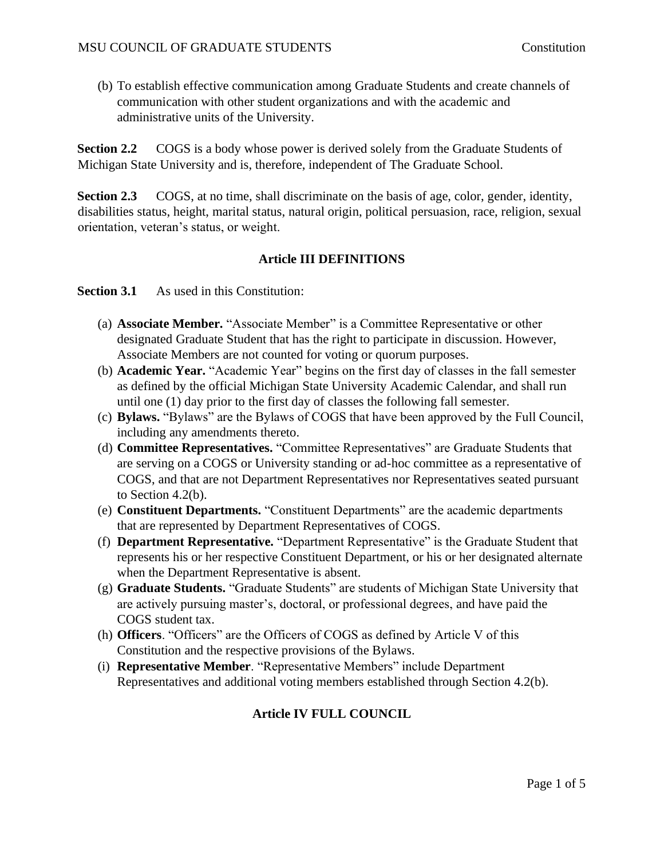(b) To establish effective communication among Graduate Students and create channels of communication with other student organizations and with the academic and administrative units of the University.

**Section 2.2** COGS is a body whose power is derived solely from the Graduate Students of Michigan State University and is, therefore, independent of The Graduate School.

**Section 2.3** COGS, at no time, shall discriminate on the basis of age, color, gender, identity, disabilities status, height, marital status, natural origin, political persuasion, race, religion, sexual orientation, veteran's status, or weight.

# **Article III DEFINITIONS**

**Section 3.1** As used in this Constitution:

- (a) **Associate Member.** "Associate Member" is a Committee Representative or other designated Graduate Student that has the right to participate in discussion. However, Associate Members are not counted for voting or quorum purposes.
- (b) **Academic Year.** "Academic Year" begins on the first day of classes in the fall semester as defined by the official Michigan State University Academic Calendar, and shall run until one (1) day prior to the first day of classes the following fall semester.
- (c) **Bylaws.** "Bylaws" are the Bylaws of COGS that have been approved by the Full Council, including any amendments thereto.
- (d) **Committee Representatives.** "Committee Representatives" are Graduate Students that are serving on a COGS or University standing or ad-hoc committee as a representative of COGS, and that are not Department Representatives nor Representatives seated pursuant to Section 4.2(b).
- (e) **Constituent Departments.** "Constituent Departments" are the academic departments that are represented by Department Representatives of COGS.
- (f) **Department Representative.** "Department Representative" is the Graduate Student that represents his or her respective Constituent Department, or his or her designated alternate when the Department Representative is absent.
- (g) **Graduate Students.** "Graduate Students" are students of Michigan State University that are actively pursuing master's, doctoral, or professional degrees, and have paid the COGS student tax.
- (h) **Officers**. "Officers" are the Officers of COGS as defined by Article V of this Constitution and the respective provisions of the Bylaws.
- (i) **Representative Member**. "Representative Members" include Department Representatives and additional voting members established through Section 4.2(b).

# **Article IV FULL COUNCIL**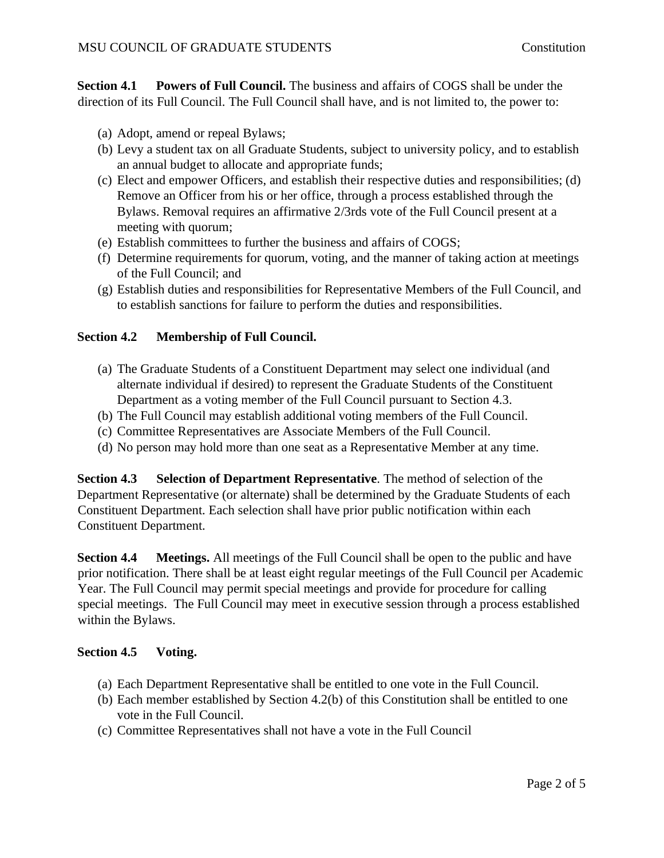**Section 4.1 Powers of Full Council.** The business and affairs of COGS shall be under the direction of its Full Council. The Full Council shall have, and is not limited to, the power to:

- (a) Adopt, amend or repeal Bylaws;
- (b) Levy a student tax on all Graduate Students, subject to university policy, and to establish an annual budget to allocate and appropriate funds;
- (c) Elect and empower Officers, and establish their respective duties and responsibilities; (d) Remove an Officer from his or her office, through a process established through the Bylaws. Removal requires an affirmative 2/3rds vote of the Full Council present at a meeting with quorum;
- (e) Establish committees to further the business and affairs of COGS;
- (f) Determine requirements for quorum, voting, and the manner of taking action at meetings of the Full Council; and
- (g) Establish duties and responsibilities for Representative Members of the Full Council, and to establish sanctions for failure to perform the duties and responsibilities.

# **Section 4.2 Membership of Full Council.**

- (a) The Graduate Students of a Constituent Department may select one individual (and alternate individual if desired) to represent the Graduate Students of the Constituent Department as a voting member of the Full Council pursuant to Section 4.3.
- (b) The Full Council may establish additional voting members of the Full Council.
- (c) Committee Representatives are Associate Members of the Full Council.
- (d) No person may hold more than one seat as a Representative Member at any time.

**Section 4.3 Selection of Department Representative**. The method of selection of the Department Representative (or alternate) shall be determined by the Graduate Students of each Constituent Department. Each selection shall have prior public notification within each Constituent Department.

**Section 4.4 Meetings.** All meetings of the Full Council shall be open to the public and have prior notification. There shall be at least eight regular meetings of the Full Council per Academic Year. The Full Council may permit special meetings and provide for procedure for calling special meetings. The Full Council may meet in executive session through a process established within the Bylaws.

# **Section 4.5 Voting.**

- (a) Each Department Representative shall be entitled to one vote in the Full Council.
- (b) Each member established by Section 4.2(b) of this Constitution shall be entitled to one vote in the Full Council.
- (c) Committee Representatives shall not have a vote in the Full Council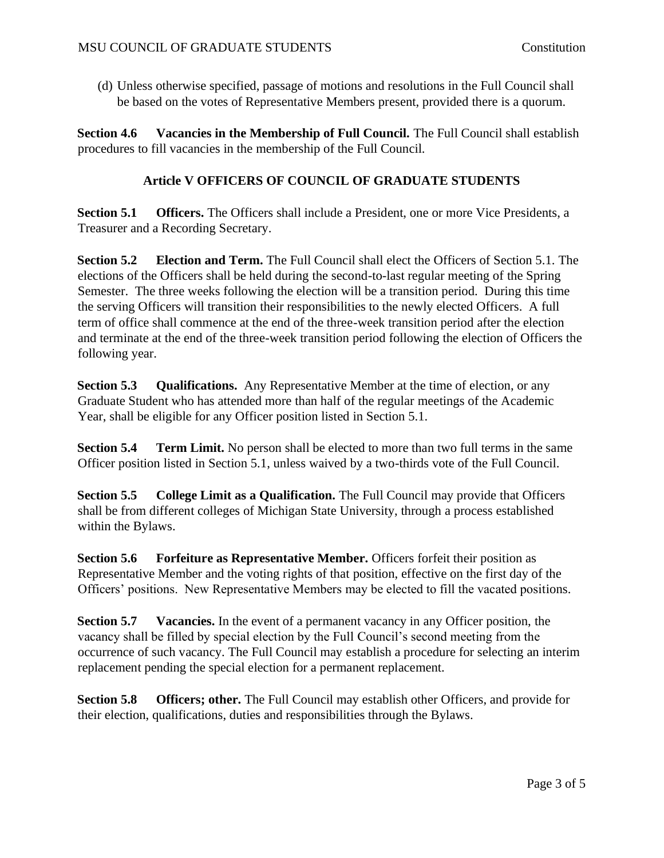(d) Unless otherwise specified, passage of motions and resolutions in the Full Council shall be based on the votes of Representative Members present, provided there is a quorum.

**Section 4.6 Vacancies in the Membership of Full Council.** The Full Council shall establish procedures to fill vacancies in the membership of the Full Council.

#### **Article V OFFICERS OF COUNCIL OF GRADUATE STUDENTS**

**Section 5.1 Officers.** The Officers shall include a President, one or more Vice Presidents, a Treasurer and a Recording Secretary.

**Section 5.2 Election and Term.** The Full Council shall elect the Officers of Section 5.1. The elections of the Officers shall be held during the second-to-last regular meeting of the Spring Semester. The three weeks following the election will be a transition period. During this time the serving Officers will transition their responsibilities to the newly elected Officers. A full term of office shall commence at the end of the three-week transition period after the election and terminate at the end of the three-week transition period following the election of Officers the following year.

**Section 5.3 Qualifications.** Any Representative Member at the time of election, or any Graduate Student who has attended more than half of the regular meetings of the Academic Year, shall be eligible for any Officer position listed in Section 5.1.

**Section 5.4 Term Limit.** No person shall be elected to more than two full terms in the same Officer position listed in Section 5.1, unless waived by a two-thirds vote of the Full Council.

**Section 5.5 College Limit as a Qualification.** The Full Council may provide that Officers shall be from different colleges of Michigan State University, through a process established within the Bylaws.

**Section 5.6 Forfeiture as Representative Member.** Officers forfeit their position as Representative Member and the voting rights of that position, effective on the first day of the Officers' positions. New Representative Members may be elected to fill the vacated positions.

**Section 5.7** Vacancies. In the event of a permanent vacancy in any Officer position, the vacancy shall be filled by special election by the Full Council's second meeting from the occurrence of such vacancy. The Full Council may establish a procedure for selecting an interim replacement pending the special election for a permanent replacement.

**Section 5.8 Officers; other.** The Full Council may establish other Officers, and provide for their election, qualifications, duties and responsibilities through the Bylaws.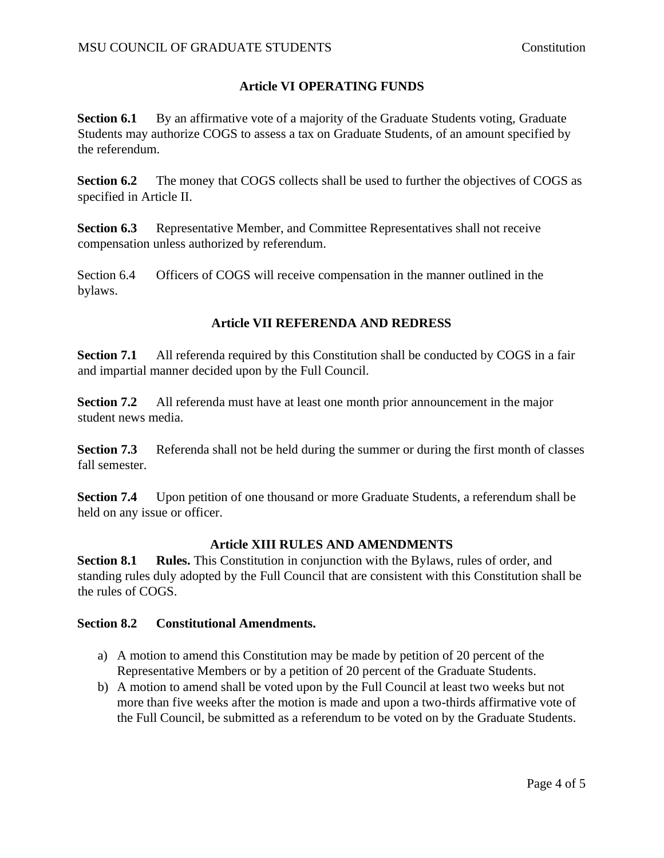# **Article VI OPERATING FUNDS**

**Section 6.1** By an affirmative vote of a majority of the Graduate Students voting, Graduate Students may authorize COGS to assess a tax on Graduate Students, of an amount specified by the referendum.

**Section 6.2** The money that COGS collects shall be used to further the objectives of COGS as specified in Article II.

**Section 6.3** Representative Member, and Committee Representatives shall not receive compensation unless authorized by referendum.

Section 6.4 Officers of COGS will receive compensation in the manner outlined in the bylaws.

# **Article VII REFERENDA AND REDRESS**

**Section 7.1** All referenda required by this Constitution shall be conducted by COGS in a fair and impartial manner decided upon by the Full Council.

**Section 7.2** All referenda must have at least one month prior announcement in the major student news media.

**Section 7.3** • Referenda shall not be held during the summer or during the first month of classes fall semester.

**Section 7.4** Upon petition of one thousand or more Graduate Students, a referendum shall be held on any issue or officer.

# **Article XIII RULES AND AMENDMENTS**

**Section 8.1 Rules.** This Constitution in conjunction with the Bylaws, rules of order, and standing rules duly adopted by the Full Council that are consistent with this Constitution shall be the rules of COGS.

#### **Section 8.2 Constitutional Amendments.**

- a) A motion to amend this Constitution may be made by petition of 20 percent of the Representative Members or by a petition of 20 percent of the Graduate Students.
- b) A motion to amend shall be voted upon by the Full Council at least two weeks but not more than five weeks after the motion is made and upon a two-thirds affirmative vote of the Full Council, be submitted as a referendum to be voted on by the Graduate Students.